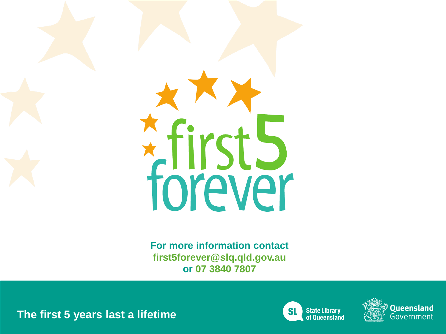

**For more information contact first5forever@slq.qld.gov.au or 07 3840 7807** 

**The first 5 years last a lifetime**



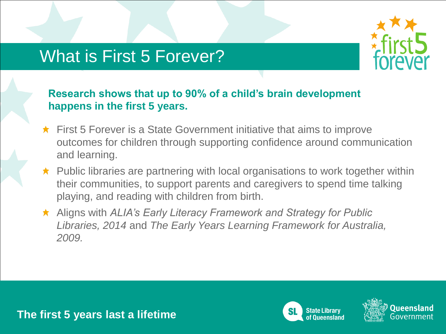# What is First 5 Forever?



### **Research shows that up to 90% of a child's brain development happens in the first 5 years.**

- $\star$  First 5 Forever is a State Government initiative that aims to improve outcomes for children through supporting confidence around communication and learning.
- $\star$  Public libraries are partnering with local organisations to work together within their communities, to support parents and caregivers to spend time talking playing, and reading with children from birth.
- Aligns with *ALIA's Early Literacy Framework and Strategy for Public Libraries, 2014* and *The Early Years Learning Framework for Australia, 2009.*



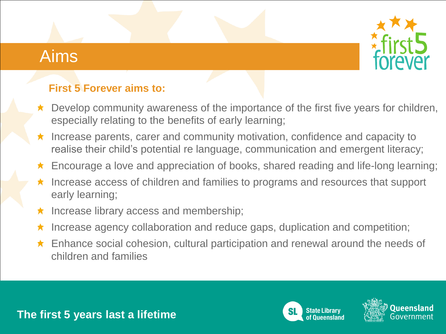# Aims



## **First 5 Forever aims to:**

- $\star$  Develop community awareness of the importance of the first five years for children, especially relating to the benefits of early learning;
- Increase parents, carer and community motivation, confidence and capacity to  $\bigstar$ realise their child's potential re language, communication and emergent literacy;
- Encourage a love and appreciation of books, shared reading and life-long learning; ★
- Increase access of children and families to programs and resources that support early learning;
- Increase library access and membership;  $\bigstar$
- Increase agency collaboration and reduce gaps, duplication and competition;
- ★ Enhance social cohesion, cultural participation and renewal around the needs of children and families



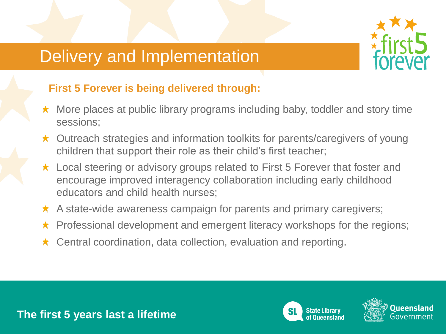# Delivery and Implementation



## **First 5 Forever is being delivered through:**

- $\star$  More places at public library programs including baby, toddler and story time sessions;
- ★ Outreach strategies and information toolkits for parents/caregivers of young children that support their role as their child's first teacher;
- ★ Local steering or advisory groups related to First 5 Forever that foster and encourage improved interagency collaboration including early childhood educators and child health nurses;
- $\star$  A state-wide awareness campaign for parents and primary caregivers;
- $\star$  Professional development and emergent literacy workshops for the regions;
- ★ Central coordination, data collection, evaluation and reporting.





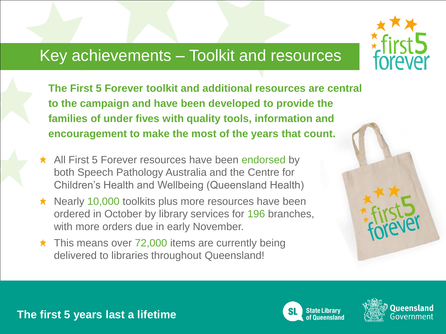## Key achievements – Toolkit and resources

**The First 5 Forever toolkit and additional resources are central to the campaign and have been developed to provide the families of under fives with quality tools, information and encouragement to make the most of the years that count.**

- $\star$  All First 5 Forever resources have been endorsed by both Speech Pathology Australia and the Centre for Children's Health and Wellbeing (Queensland Health)
- $\star$  Nearly 10,000 toolkits plus more resources have been ordered in October by library services for 196 branches, with more orders due in early November.
- $\star$  This means over 72,000 items are currently being delivered to libraries throughout Queensland!







### **The first 5 years last a lifetime**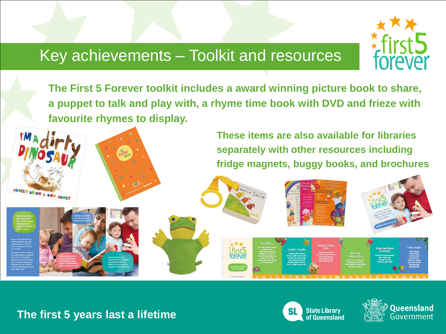## Key achievements – Toolkit and resources



**The First 5 Forever toolkit includes a award winning picture book to share, a puppet to talk and play with, a rhyme time book with DVD and frieze with favourite rhymes to display.** 

> **These items are also available for libraries separately with other resources including fridge magnets, buggy books, and brochures**



JANEEN BRIAN & ANN JAMES



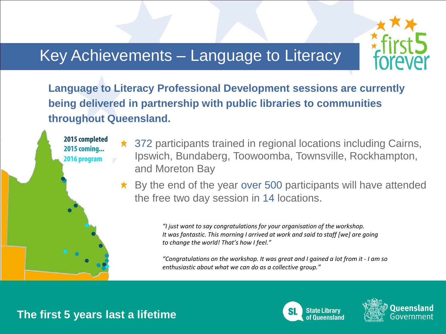# Key Achievements – Language to Literacy



**Language to Literacy Professional Development sessions are currently being delivered in partnership with public libraries to communities throughout Queensland.**

> ★ 372 participants trained in regional locations including Cairns, Ipswich, Bundaberg, Toowoomba, Townsville, Rockhampton, and Moreton Bay

 $\star$  By the end of the year over 500 participants will have attended the free two day session in 14 locations.

> *"I just want to say congratulations for your organisation of the workshop. It was fantastic. This morning I arrived at work and said to staff [we] are going to change the world! That's how I feel."*

*"Congratulations on the workshop. It was great and I gained a lot from it - I am so enthusiastic about what we can do as a collective group."*



2015 completed 2015 coming... 2016 program